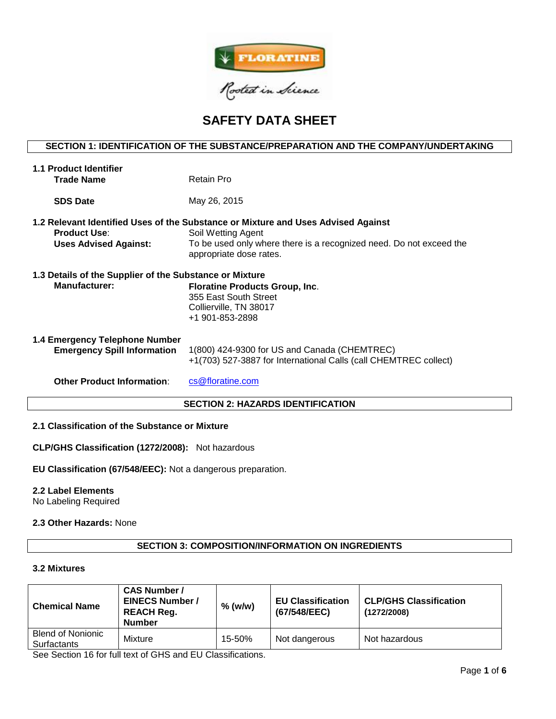

# **SAFETY DATA SHEET**

# **SECTION 1: IDENTIFICATION OF THE SUBSTANCE/PREPARATION AND THE COMPANY/UNDERTAKING**

| <b>1.1 Product Identifier</b>                                        |                                                                                                                                                                                                           |  |  |  |  |  |
|----------------------------------------------------------------------|-----------------------------------------------------------------------------------------------------------------------------------------------------------------------------------------------------------|--|--|--|--|--|
| <b>Trade Name</b>                                                    | Retain Pro                                                                                                                                                                                                |  |  |  |  |  |
| <b>SDS Date</b>                                                      | May 26, 2015                                                                                                                                                                                              |  |  |  |  |  |
| <b>Product Use:</b><br><b>Uses Advised Against:</b>                  | 1.2 Relevant Identified Uses of the Substance or Mixture and Uses Advised Against<br>Soil Wetting Agent<br>To be used only where there is a recognized need. Do not exceed the<br>appropriate dose rates. |  |  |  |  |  |
| 1.3 Details of the Supplier of the Substance or Mixture              |                                                                                                                                                                                                           |  |  |  |  |  |
| <b>Manufacturer:</b>                                                 | <b>Floratine Products Group, Inc.</b><br>355 East South Street<br>Collierville, TN 38017<br>+1 901-853-2898                                                                                               |  |  |  |  |  |
| 1.4 Emergency Telephone Number<br><b>Emergency Spill Information</b> | 1(800) 424-9300 for US and Canada (CHEMTREC)<br>+1(703) 527-3887 for International Calls (call CHEMTREC collect)                                                                                          |  |  |  |  |  |
| <b>Other Product Information:</b>                                    | cs@floratine.com                                                                                                                                                                                          |  |  |  |  |  |
| <b>SECTION 2: HAZARDS IDENTIFICATION</b>                             |                                                                                                                                                                                                           |  |  |  |  |  |

# **2.1 Classification of the Substance or Mixture**

**CLP/GHS Classification (1272/2008):** Not hazardous

**EU Classification (67/548/EEC):** Not a dangerous preparation.

#### **2.2 Label Elements**

No Labeling Required

#### **2.3 Other Hazards:** None

# **SECTION 3: COMPOSITION/INFORMATION ON INGREDIENTS**

#### **3.2 Mixtures**

| <b>Chemical Name</b>                           | <b>CAS Number /</b><br><b>EINECS Number /</b><br><b>REACH Reg.</b><br><b>Number</b> | $%$ (w/w) | <b>EU Classification</b><br>(67/548/EEC) | <b>CLP/GHS Classification</b><br>(1272/2008) |
|------------------------------------------------|-------------------------------------------------------------------------------------|-----------|------------------------------------------|----------------------------------------------|
| <b>Blend of Nonionic</b><br><b>Surfactants</b> | Mixture                                                                             | 15-50%    | Not dangerous                            | Not hazardous                                |

See Section 16 for full text of GHS and EU Classifications.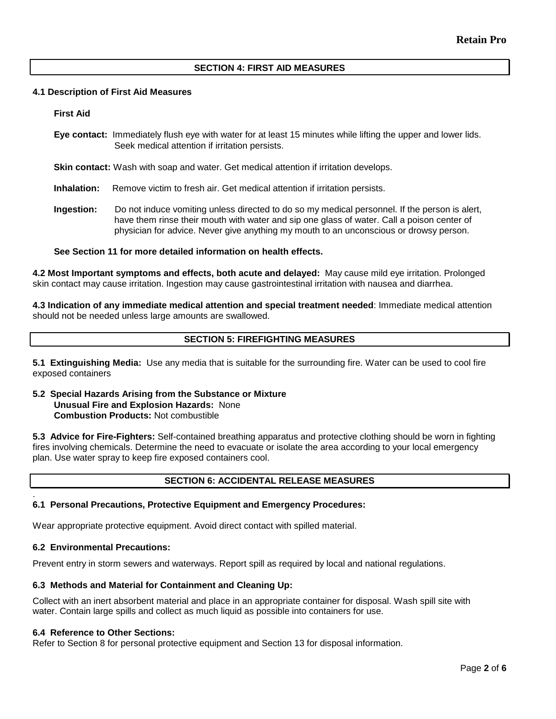# **SECTION 4: FIRST AID MEASURES**

#### **4.1 Description of First Aid Measures**

#### **First Aid**

**Eye contact:** Immediately flush eye with water for at least 15 minutes while lifting the upper and lower lids. Seek medical attention if irritation persists.

**Skin contact:** Wash with soap and water. Get medical attention if irritation develops.

**Inhalation:** Remove victim to fresh air. Get medical attention if irritation persists.

**Ingestion:** Do not induce vomiting unless directed to do so my medical personnel. If the person is alert, have them rinse their mouth with water and sip one glass of water. Call a poison center of physician for advice. Never give anything my mouth to an unconscious or drowsy person.

#### **See Section 11 for more detailed information on health effects.**

**4.2 Most Important symptoms and effects, both acute and delayed:** May cause mild eye irritation. Prolonged skin contact may cause irritation. Ingestion may cause gastrointestinal irritation with nausea and diarrhea.

**4.3 Indication of any immediate medical attention and special treatment needed**: Immediate medical attention should not be needed unless large amounts are swallowed.

# **SECTION 5: FIREFIGHTING MEASURES**

**5.1 Extinguishing Media:** Use any media that is suitable for the surrounding fire. Water can be used to cool fire exposed containers

#### **5.2 Special Hazards Arising from the Substance or Mixture Unusual Fire and Explosion Hazards:** None **Combustion Products:** Not combustible

**5.3 Advice for Fire-Fighters:** Self-contained breathing apparatus and protective clothing should be worn in fighting fires involving chemicals. Determine the need to evacuate or isolate the area according to your local emergency plan. Use water spray to keep fire exposed containers cool.

# **SECTION 6: ACCIDENTAL RELEASE MEASURES**

#### **6.1 Personal Precautions, Protective Equipment and Emergency Procedures:**

Wear appropriate protective equipment. Avoid direct contact with spilled material.

# **6.2 Environmental Precautions:**

.

Prevent entry in storm sewers and waterways. Report spill as required by local and national regulations.

#### **6.3 Methods and Material for Containment and Cleaning Up:**

Collect with an inert absorbent material and place in an appropriate container for disposal. Wash spill site with water. Contain large spills and collect as much liquid as possible into containers for use.

#### **6.4 Reference to Other Sections:**

Refer to Section 8 for personal protective equipment and Section 13 for disposal information.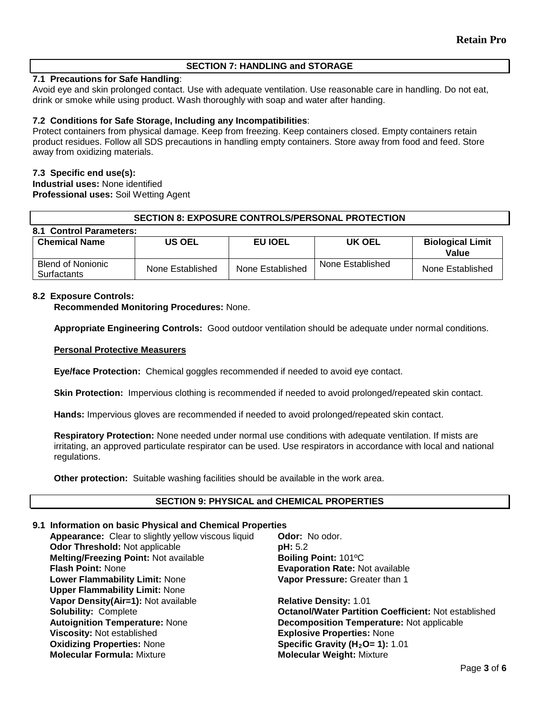# **SECTION 7: HANDLING and STORAGE**

# **7.1 Precautions for Safe Handling**:

Avoid eye and skin prolonged contact. Use with adequate ventilation. Use reasonable care in handling. Do not eat, drink or smoke while using product. Wash thoroughly with soap and water after handing.

# **7.2 Conditions for Safe Storage, Including any Incompatibilities**:

Protect containers from physical damage. Keep from freezing. Keep containers closed. Empty containers retain product residues. Follow all SDS precautions in handling empty containers. Store away from food and feed. Store away from oxidizing materials.

#### **7.3 Specific end use(s):**

**Industrial uses:** None identified **Professional uses:** Soil Wetting Agent

# **SECTION 8: EXPOSURE CONTROLS/PERSONAL PROTECTION**

| 8.1 Control Parameters:                 |                  |                  |                  |                                  |  |  |  |  |  |
|-----------------------------------------|------------------|------------------|------------------|----------------------------------|--|--|--|--|--|
| <b>Chemical Name</b>                    | US OEL           | <b>EU IOEL</b>   | UK OEL           | <b>Biological Limit</b><br>Value |  |  |  |  |  |
| <b>Blend of Nonionic</b><br>Surfactants | None Established | None Established | None Established | None Established                 |  |  |  |  |  |

#### **8.2 Exposure Controls:**

**Recommended Monitoring Procedures:** None.

**Appropriate Engineering Controls:** Good outdoor ventilation should be adequate under normal conditions.

#### **Personal Protective Measurers**

**Eye/face Protection:** Chemical goggles recommended if needed to avoid eye contact.

**Skin Protection:** Impervious clothing is recommended if needed to avoid prolonged/repeated skin contact.

**Hands:** Impervious gloves are recommended if needed to avoid prolonged/repeated skin contact.

**Respiratory Protection:** None needed under normal use conditions with adequate ventilation. If mists are irritating, an approved particulate respirator can be used. Use respirators in accordance with local and national regulations.

**Other protection:** Suitable washing facilities should be available in the work area.

#### **SECTION 9: PHYSICAL and CHEMICAL PROPERTIES**

# **9.1 Information on basic Physical and Chemical Properties**

**Appearance:** Clear to slightly yellow viscous liquid **Odor:** No odor. **Odor Threshold:** Not applicable **pH:**  $5.2$ **Melting/Freezing Point: Not available better assets a Boiling Point: 101°C<br><b>Flash Point: N**one **Boiling Point: Algebrance Brand Bate: Note Evaporation Rate: Not available Lower Flammability Limit:** None **Upper Flammability Limit:** None **Vapor Pressure:** Greater than 1 **Vapor Density(Air=1):** Not available **Relative Density:** 1.01 **Solubility:** Complete **Octanol/Water Partition Coefficient:** Not established **Autoignition Temperature:** None **Decomposition Temperature:** Not applicable **Viscosity:** Not established<br> **Oxidizing Properties:** None<br> **CXIDICAL Specific Gravity (H<sub>2</sub>O= 1):** 1 **Oxidizing Properties: None <b>Specific Gravity (H<sub>2</sub>O= 1):** 1.01<br> **Molecular Formula:** Mixture **State of Molecular Weight: Mixture Molecular Weight: Mixture**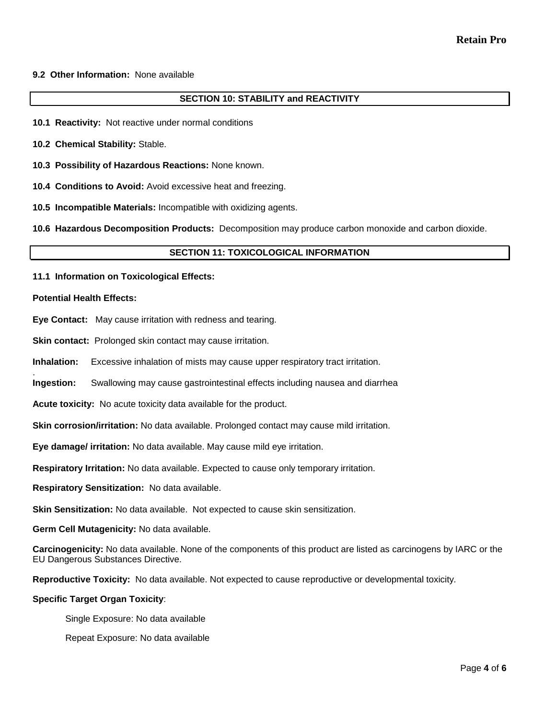# **9.2 Other Information:** None available

# **SECTION 10: STABILITY and REACTIVITY**

- **10.1 Reactivity:** Not reactive under normal conditions
- **10.2 Chemical Stability:** Stable.
- **10.3 Possibility of Hazardous Reactions:** None known.
- **10.4 Conditions to Avoid:** Avoid excessive heat and freezing.
- **10.5 Incompatible Materials:** Incompatible with oxidizing agents.

**10.6 Hazardous Decomposition Products:** Decomposition may produce carbon monoxide and carbon dioxide.

#### **SECTION 11: TOXICOLOGICAL INFORMATION**

**11.1 Information on Toxicological Effects:** 

#### **Potential Health Effects:**

- **Eye Contact:** May cause irritation with redness and tearing.
- **Skin contact:** Prolonged skin contact may cause irritation.
- **Inhalation:** Excessive inhalation of mists may cause upper respiratory tract irritation.
- . **Ingestion:** Swallowing may cause gastrointestinal effects including nausea and diarrhea
- **Acute toxicity:** No acute toxicity data available for the product.
- **Skin corrosion/irritation:** No data available. Prolonged contact may cause mild irritation.
- **Eye damage/ irritation:** No data available. May cause mild eye irritation.
- **Respiratory Irritation:** No data available. Expected to cause only temporary irritation.
- **Respiratory Sensitization:** No data available.
- **Skin Sensitization:** No data available. Not expected to cause skin sensitization.
- **Germ Cell Mutagenicity:** No data available.
- **Carcinogenicity:** No data available. None of the components of this product are listed as carcinogens by IARC or the EU Dangerous Substances Directive.
- **Reproductive Toxicity:** No data available. Not expected to cause reproductive or developmental toxicity.

#### **Specific Target Organ Toxicity**:

- Single Exposure: No data available
- Repeat Exposure: No data available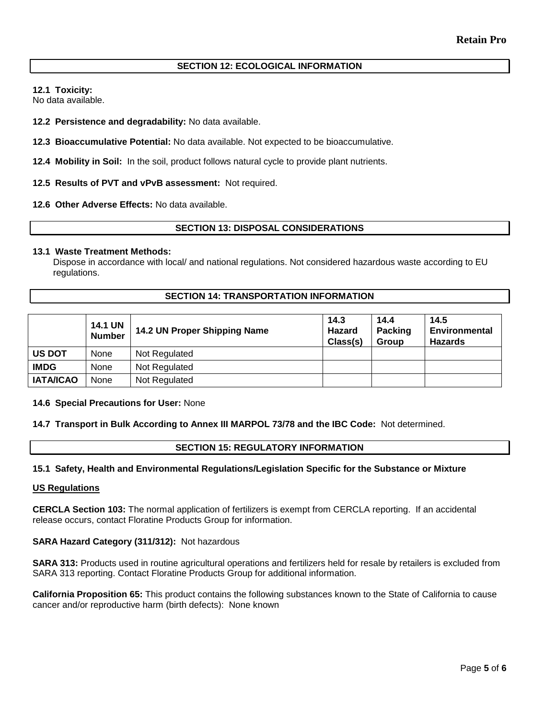# **SECTION 12: ECOLOGICAL INFORMATION**

**12.1 Toxicity:** 

No data available.

**12.2 Persistence and degradability:** No data available.

**12.3 Bioaccumulative Potential:** No data available. Not expected to be bioaccumulative.

**12.4 Mobility in Soil:** In the soil, product follows natural cycle to provide plant nutrients.

**12.5 Results of PVT and vPvB assessment:** Not required.

**12.6 Other Adverse Effects:** No data available.

# **SECTION 13: DISPOSAL CONSIDERATIONS**

#### **13.1 Waste Treatment Methods:**

Dispose in accordance with local/ and national regulations. Not considered hazardous waste according to EU regulations.

# **SECTION 14: TRANSPORTATION INFORMATION**

|                  | <b>14.1 UN</b><br><b>Number</b> | 14.2 UN Proper Shipping Name | 14.3<br>Hazard<br>Class(s) | 14.4<br>Packing<br>Group | 14.5<br>Environmental<br>Hazards |
|------------------|---------------------------------|------------------------------|----------------------------|--------------------------|----------------------------------|
| <b>US DOT</b>    | None                            | Not Regulated                |                            |                          |                                  |
| <b>IMDG</b>      | None                            | Not Regulated                |                            |                          |                                  |
| <b>IATA/ICAO</b> | None                            | Not Regulated                |                            |                          |                                  |

#### **14.6 Special Precautions for User:** None

**14.7 Transport in Bulk According to Annex III MARPOL 73/78 and the IBC Code:** Not determined.

# **SECTION 15: REGULATORY INFORMATION**

#### **15.1 Safety, Health and Environmental Regulations/Legislation Specific for the Substance or Mixture**

#### **US Regulations**

**CERCLA Section 103:** The normal application of fertilizers is exempt from CERCLA reporting. If an accidental release occurs, contact Floratine Products Group for information.

#### **SARA Hazard Category (311/312):** Not hazardous

**SARA 313:** Products used in routine agricultural operations and fertilizers held for resale by retailers is excluded from SARA 313 reporting. Contact Floratine Products Group for additional information.

**California Proposition 65:** This product contains the following substances known to the State of California to cause cancer and/or reproductive harm (birth defects): None known